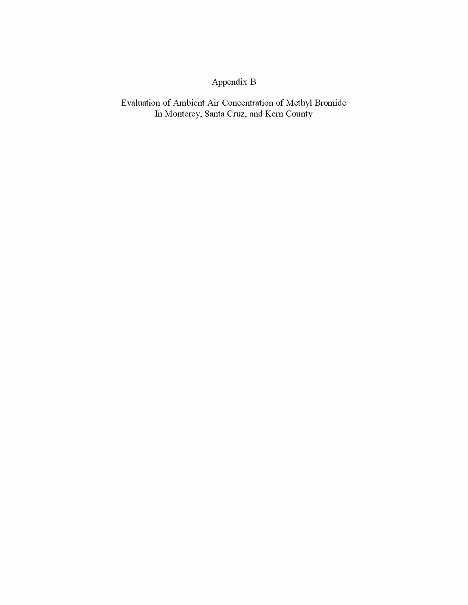# Appendix B

Evaluation of Ambient Air Concentration of Methyl Bromide In Monterey, Santa Cruz, and Kern County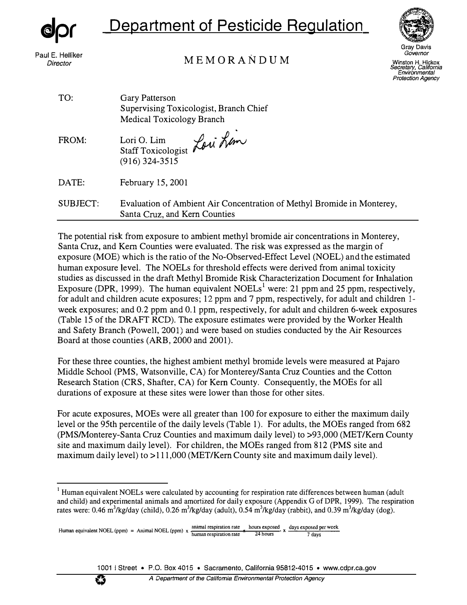

# **Department of Pesticide Regulation**



Paul E. Helliker *Director* 

# MEMORANDUM

*Governor*  Winston H. Hickox *Secretary, California Environmental* 

*Protection Agency* 

| Gary Patterson<br>Supervising Toxicologist, Branch Chief<br><b>Medical Toxicology Branch</b>            |
|---------------------------------------------------------------------------------------------------------|
| Staff Toxicologist Loui Lim<br>$(916)$ 324-3515                                                         |
| February 15, 2001                                                                                       |
| Evaluation of Ambient Air Concentration of Methyl Bromide in Monterey,<br>Santa Cruz, and Kern Counties |
|                                                                                                         |

The potential risk from exposure to ambient methyl bromide air concentrations in Monterey, Santa Cruz, and Kern Counties were evaluated. The risk was expressed as the margin of exposure (MOE) which is the ratio of the No-Observed-Effect Level (NOEL) and the estimated human exposure level. The NOELs for threshold effects were derived from animal toxicity studies as discussed in the draft Methyl Bromide Risk Characterization Document for Inhalation Exposure (DPR, 1999). The human equivalent NOELs<sup>1</sup> were: 21 ppm and 25 ppm, respectively, for adult and children acute exposures; 12 ppm and 7 ppm, respectively, for adult and children Iweek exposures; and 0.2 ppm and 0.1 ppm, respectively, for adult and children 6-week exposures (Table 15 of the DRAFT RCD). The exposure estimates were provided by the Worker Health and Safety Branch (Powell, 2001) and were based on studies conducted by the Air Resources Board at those counties (ARB, 2000 and 2001).

For these three counties, the highest ambient methyl bromide levels were measured at Pajaro Middle School (PMS, Watsonville, CA) for Monterey/Santa Cruz Counties and the Cotton Research Station (CRS, Shafter, CA) for Kern County. Consequently, the MOEs for all durations of exposure at these sites were lower than those for other sites.

For acute exposures, MOEs were all greater than 100 for exposure to either the maximum daily level or the 95th percentile of the daily levels (Table 1). For adults, the MOEs ranged from 682 (PMS/Monterey-Santa Cruz Counties and maximum daily level) to >93,000 (MET/Kem County site and maximum daily level). For children, the MOEs ranged from 812 (PMS site and maximum daily level) to >111,000 (MET/Kern County site and maximum daily level).



<sup>&</sup>lt;sup>1</sup> Human equivalent NOELs were calculated by accounting for respiration rate differences between human (adult and child) and experimental animals and amortized for daily exposure (Appendix G of DPR, 1999). The respiration rates were: 0.46 m<sup>3</sup>/kg/day (child), 0.26 m<sup>3</sup>/kg/day (adult), 0.54 m<sup>3</sup>/kg/day (rabbit), and 0.39 m<sup>3</sup>/kg/day (dog).

Human equivalent NOEL (ppm) = Animal NOEL (ppm)  $\times$   $\frac{\text{animal}}{\text{human respiration rate}}$   $\frac{\text{hours}}{24 \text{ hours}} \times \frac{\text{days exposed per week}}{7 \text{ days}}$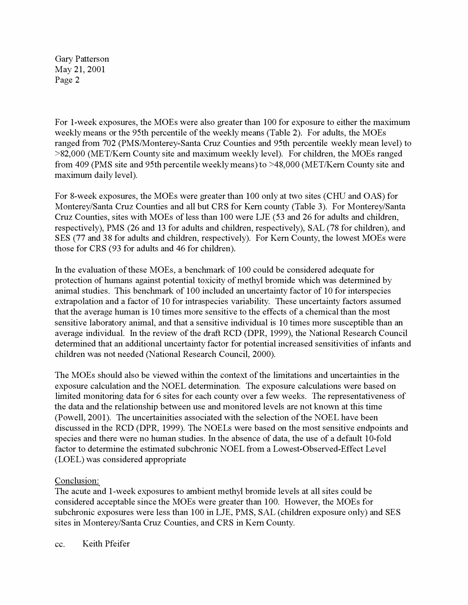For 1-week exposures, the MOEs were also greater than 100 for exposure to either the maximum weekly means or the 95th percentile of the weekly means (Table 2). For adults, the MOEs ranged from 702 (PMS/Monterey-Santa Cruz Counties and 95th percentile weekly mean level) to >82,000 (MET/Kern County site and maximum weekly level). For children, the MOEs ranged from 409 (PMS site and 95th percentile weekly means) to >48,000 (MET/Kern County site and maximum daily level).

For 8-week exposures, the MOEs were greater than 100 only at two sites (CHU and OAS) for Monterey/Santa Cruz Counties and all but CRS for Kern county (Table 3). For Monterey/Santa Cruz Counties, sites with MOEs of less than 100 were LJE (53 and 26 for adults and children, respectively), PMS (26 and 13 for adults and children, respectively), SAL (78 for children), and SES (77 and 38 for adults and children, respectively). For Kern County, the lowest MOEs were those for CRS (93 for adults and 46 for children).

In the evaluation of these MOEs, a benchmark of 100 could be considered adequate for protection of humans against potential toxicity of methyl bromide which was determined by animal studies. This benchmark of 100 included an uncertainty factor of 10 for interspecies extrapolation and a factor of 10 for intraspecies variability. These uncertainty factors assumed that the average human is 10 times more sensitive to the effects of a chemical than the most sensitive laboratory animal, and that a sensitive individual is 10 times more susceptible than an average individual. In the review of the draft RCD (DPR, 1999), the National Research Council determined that an additional uncertainty factor for potential increased sensitivities of infants and children was not needed (National Research Council, 2000).

The MOEs should also be viewed within the context of the limitations and uncertainties in the exposure calculation and the NOEL determination. The exposure calculations were based on limited monitoring data for 6 sites for each county over a few weeks. The representativeness of the data and the relationship between use and monitored levels are not known at this time (Powell, 2001). The uncertainities associated with the selection of the NOEL have been discussed in the RCD (DPR, 1999). The NOELs were based on the most sensitive endpoints and species and there were no human studies. In the absence of data, the use of a default 10-fold factor to determine the estimated subchronic NOEL from a Lowest-Observed-Effect Level (LOEL) was considered appropriate

## Conclusion:

The acute and 1-week exposures to ambient methyl bromide levels at all sites could be considered acceptable since the MOEs were greater than 100. However, the MOEs for subchronic exposures were less than 100 in LJE, PMS, SAL ( children exposure only) and SES sites in Monterey/Santa Cruz Counties, and CRS in Kern County.

cc. Keith Pfeifer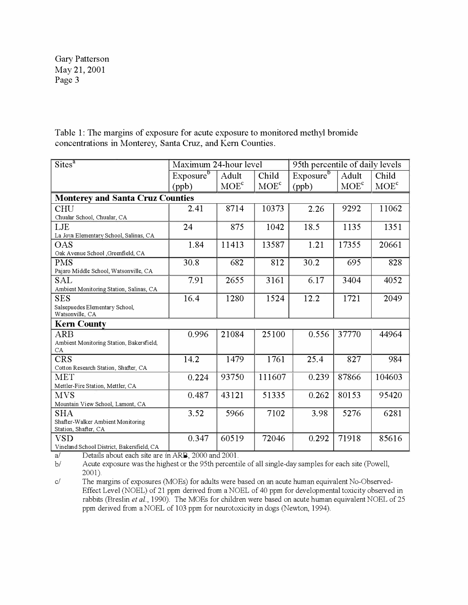Table 1: The margins of exposure for acute exposure to monitored methyl bromide concentrations in Monterey, Santa Cruz, and Kern Counties.

| $\overline{\text{Sites}^a}$                               | Maximum 24-hour level |         |         | 95th percentile of daily levels |         |         |  |
|-----------------------------------------------------------|-----------------------|---------|---------|---------------------------------|---------|---------|--|
|                                                           | Exposure <sup>b</sup> | Adult   | Child   | Exposure <sup>b</sup>           | Adult   | Child   |  |
|                                                           | (ppb)                 | $MOE^c$ | $MOE^c$ | (ppb)                           | $MOE^c$ | $MOE^c$ |  |
| <b>Monterey and Santa Cruz Counties</b>                   |                       |         |         |                                 |         |         |  |
| <b>CHU</b>                                                | 2.41                  | 8714    | 10373   | 2.26                            | 9292    | 11062   |  |
| Chualar School, Chualar, CA                               |                       |         |         |                                 |         |         |  |
| LJE                                                       | 24                    | 875     | 1042    | 18.5                            | 1135    | 1351    |  |
| La Joya Elementary School, Salinas, CA                    |                       |         |         |                                 |         |         |  |
| OAS                                                       | 1.84                  | 11413   | 13587   | 1.21                            | 17355   | 20661   |  |
| Oak Avenue School , Greenfield, CA                        |                       |         |         |                                 |         |         |  |
| <b>PMS</b>                                                | 30.8                  | 682     | 812     | 30.2                            | 695     | 828     |  |
| Pajaro Middle School, Watsonville, CA                     |                       |         |         |                                 |         |         |  |
| <b>SAL</b>                                                | 7.91                  | 2655    | 3161    | 6.17                            | 3404    | 4052    |  |
| Ambient Monitoring Station, Salinas, CA                   |                       |         |         |                                 |         |         |  |
| <b>SES</b>                                                | 16.4                  | 1280    | 1524    | 12.2                            | 1721    | 2049    |  |
| Salsepuedes Elementary School,                            |                       |         |         |                                 |         |         |  |
| Watsonville, CA                                           |                       |         |         |                                 |         |         |  |
| <b>Kern County</b>                                        |                       |         |         |                                 |         |         |  |
| <b>ARB</b>                                                | 0.996                 | 21084   | 25100   | 0.556                           | 37770   | 44964   |  |
| Ambient Monitoring Station, Bakersfield,                  |                       |         |         |                                 |         |         |  |
| CA                                                        |                       |         |         |                                 |         |         |  |
| <b>CRS</b>                                                | 14.2                  | 1479    | 1761    | 25.4                            | 827     | 984     |  |
| Cotton Research Station, Shafter, CA                      |                       |         |         |                                 |         |         |  |
| <b>MET</b>                                                | 0.224                 | 93750   | 111607  | 0.239                           | 87866   | 104603  |  |
| Mettler-Fire Station, Mettler, CA                         |                       |         |         |                                 |         |         |  |
| <b>MVS</b>                                                | 0.487                 | 43121   | 51335   | 0.262                           | 80153   | 95420   |  |
| Mountain View School, Lamont, CA                          |                       |         |         |                                 |         |         |  |
| <b>SHA</b>                                                | 3.52                  | 5966    | 7102    | 3.98                            | 5276    | 6281    |  |
| Shafter-Walker Ambient Monitoring<br>Station, Shafter, CA |                       |         |         |                                 |         |         |  |
| <b>VSD</b>                                                | 0.347                 | 60519   | 72046   | 0.292                           | 71918   | 85616   |  |
| Vineland School District, Bakersfield, CA                 |                       |         |         |                                 |         |         |  |

a/ Details about each site are in ARB, 2000 and 2001.

*bl* Acute exposure was the highest or the 95th percentile of all single-day samples for each site (Powell, 2001).

*c*/ The margins of exposures (MOEs) for adults were based on an acute human equivalent No-Observed-Effect Level (NOEL) of 21 ppm derived from a NOEL of 40 ppm for developmental toxicity observed in rabbits (Breslin *et al.,* 1990). The MOEs for children were based on acute human equivalent NOEL of 25 ppm derived from a NOEL of 103 ppm for neurotoxicity in dogs (Newton, 1994).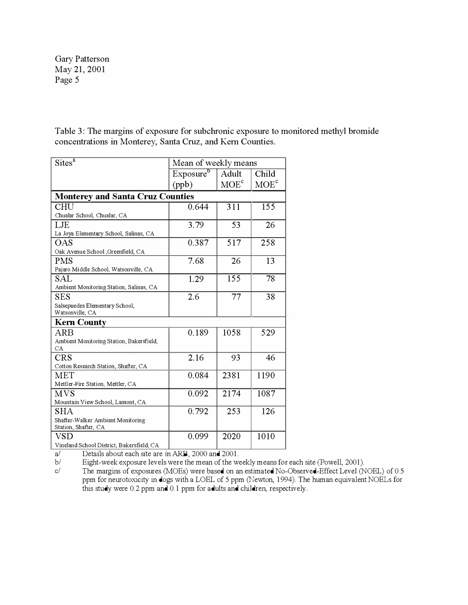Table 3: The margins of exposure for subchronic exposure to monitored methyl bromide concentrations in Monterey, Santa Cruz, and Kern Counties.

| Sites <sup>a</sup>                        | Mean of weekly means  |         |         |  |  |  |  |
|-------------------------------------------|-----------------------|---------|---------|--|--|--|--|
|                                           | Exposure <sup>b</sup> | Adult   | Child   |  |  |  |  |
|                                           | (ppb)                 | $MOE^c$ | $MOE^c$ |  |  |  |  |
| <b>Monterey and Santa Cruz Counties</b>   |                       |         |         |  |  |  |  |
| CHU                                       | 0.644                 | 311     | 155     |  |  |  |  |
| Chualar School, Chualar, CA               |                       |         |         |  |  |  |  |
| LJE                                       | 3.79                  | 53      | 26      |  |  |  |  |
| La Joya Elementary School, Salinas, CA    |                       |         |         |  |  |  |  |
| OAS                                       | 0.387                 | 517     | 258     |  |  |  |  |
| Oak Avenue School, Greenfield, CA         |                       |         |         |  |  |  |  |
| <b>PMS</b>                                | 7.68                  | 26      | 13      |  |  |  |  |
| Pajaro Middle School, Watsonville, CA     |                       |         |         |  |  |  |  |
| SAL                                       | 1.29                  | 155     | 78      |  |  |  |  |
| Ambient Monitoring Station, Salinas, CA   |                       |         |         |  |  |  |  |
| SES                                       | 2.6                   | 77      | 38      |  |  |  |  |
| Salsepuedes Elementary School,            |                       |         |         |  |  |  |  |
| Watsonville, CA                           |                       |         |         |  |  |  |  |
| <b>Kern County</b>                        |                       |         |         |  |  |  |  |
| ARB                                       | 0.189                 | 1058    | 529     |  |  |  |  |
| Ambient Monitoring Station, Bakersfield,  |                       |         |         |  |  |  |  |
| CA.                                       |                       |         |         |  |  |  |  |
| <b>CRS</b>                                | 2.16                  | 93      | 46      |  |  |  |  |
| Cotton Research Station, Shafter, CA      |                       |         |         |  |  |  |  |
| <b>MET</b>                                | 0.084                 | 2381    | 1190    |  |  |  |  |
| Mettler-Fire Station, Mettler, CA         |                       |         |         |  |  |  |  |
| MVS                                       | 0.092                 | 2174    | 1087    |  |  |  |  |
| Mountain View School, Lamont, CA          |                       |         |         |  |  |  |  |
| <b>SHA</b>                                | 0.792                 | 253     | 126     |  |  |  |  |
| Shafter-Walker Ambient Monitoring         |                       |         |         |  |  |  |  |
| Station, Shafter, CA                      |                       |         |         |  |  |  |  |
| VSD                                       | 0.099                 | 2020    | 1010    |  |  |  |  |
| Vineland School District, Bakersfield, CA |                       |         |         |  |  |  |  |

a/ Details about each site are in ARB, 2000 and 2001.

*bl*  Eight-week exposure levels were the mean of the weekly means for each site (Powell, 2001).

*cl*  The margins of exposures (MOEs) were based on an estimated No-Observed-Effect Level (NOEL) of 0.5 ppm for neurotoxicity in dogs with a LOEL of 5 ppm (Newton, 1994). The human equivalent NOELs for this study were 0.2 ppm and 0.1 ppm for adults and children, respectively.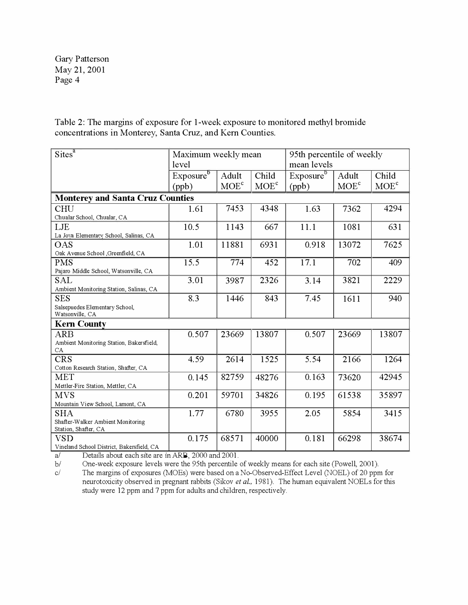Table 2: The margins of exposure for 1-week exposure to monitored methyl bromide concentrations in Monterey, Santa Cruz, and Kern Counties.

| $\overline{\text{Sites}^a}$                       | Maximum weekly mean<br>level |         |                  | 95th percentile of weekly<br>mean levels |         |                  |  |
|---------------------------------------------------|------------------------------|---------|------------------|------------------------------------------|---------|------------------|--|
|                                                   | Exposure <sup>b</sup>        | Adult   | Child            | Exposure <sup>b</sup>                    | Adult   | Child            |  |
|                                                   | (ppb)                        | $MOE^c$ | MOE <sup>c</sup> | (ppb)                                    | $MOE^c$ | MOE <sup>c</sup> |  |
| <b>Monterey and Santa Cruz Counties</b>           |                              |         |                  |                                          |         |                  |  |
| CHU                                               | 1.61                         | 7453    | 4348             | 1.63                                     | 7362    | 4294             |  |
| Chualar School, Chualar, CA                       |                              |         |                  |                                          |         |                  |  |
| LJE                                               | 10.5                         | 1143    | 667              | 11.1                                     | 1081    | 631              |  |
| La Joya Elementary School, Salinas, CA            |                              |         |                  |                                          |         |                  |  |
| <b>OAS</b>                                        | 1.01                         | 11881   | 6931             | 0.918                                    | 13072   | 7625             |  |
| Oak Avenue School , Greenfield, CA                |                              |         |                  |                                          |         |                  |  |
| <b>PMS</b>                                        | 15.5                         | 774     | 452              | 17.1                                     | 702     | 409              |  |
| Pajaro Middle School, Watsonville, CA             |                              |         |                  |                                          |         |                  |  |
| <b>SAL</b>                                        | 3.01                         | 3987    | 2326             | 3.14                                     | 3821    | 2229             |  |
| Ambient Monitoring Station, Salinas, CA           |                              |         |                  |                                          |         |                  |  |
| <b>SES</b>                                        | 8.3                          | 1446    | 843              | 7.45                                     | 1611    | 940              |  |
| Salsepuedes Elementary School,<br>Watsonville, CA |                              |         |                  |                                          |         |                  |  |
| <b>Kern County</b>                                |                              |         |                  |                                          |         |                  |  |
| <b>ARB</b>                                        | 0.507                        | 23669   | 13807            | 0.507                                    | 23669   | 13807            |  |
| Ambient Monitoring Station, Bakersfield,          |                              |         |                  |                                          |         |                  |  |
| CA                                                |                              |         |                  |                                          |         |                  |  |
| <b>CRS</b>                                        | 4.59                         | 2614    | 1525             | 5.54                                     | 2166    | 1264             |  |
| Cotton Research Station, Shafter, CA              |                              |         |                  |                                          |         |                  |  |
| <b>MET</b>                                        | 0.145                        | 82759   | 48276            | 0.163                                    | 73620   | 42945            |  |
| Mettler-Fire Station, Mettler, CA                 |                              |         |                  |                                          |         |                  |  |
| <b>MVS</b>                                        | 0.201                        | 59701   | 34826            | 0.195                                    | 61538   | 35897            |  |
| Mountain View School, Lamont, CA                  |                              |         |                  |                                          |         |                  |  |
| <b>SHA</b>                                        | 1.77                         | 6780    | 3955             | 2.05                                     | 5854    | 3415             |  |
| Shafter-Walker Ambient Monitoring                 |                              |         |                  |                                          |         |                  |  |
| Station, Shafter, CA                              |                              |         |                  |                                          |         |                  |  |
| <b>VSD</b>                                        | 0.175                        | 68571   | 40000            | 0.181                                    | 66298   | 38674            |  |
| Vineland School District, Bakersfield, CA         |                              |         |                  |                                          |         |                  |  |

a/ Details about each site are in ARB, 2000 and 2001.

*bl* One-week exposure levels were the 95th percentile of weekly means for each site (Powell, 2001).

*cl*  The margins of exposures (MOEs) were based on a No-Observed-Effect Level (NOEL) of 20 ppm for neurotoxicity observed in pregnant rabbits (Sikov *et al.*, 1981). The human equivalent NOELs for this study were 12 ppm and 7 ppm for adults and children, respectively.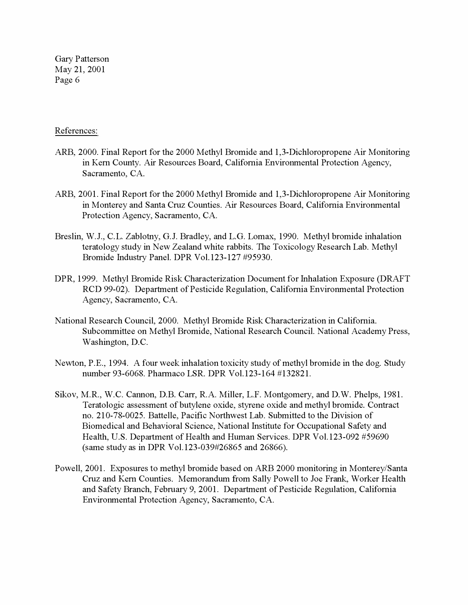### References:

- ARB, 2000. Final Report for the 2000 Methyl Bromide and 1,3-Dichloropropene Air Monitoring in Kern County. Air Resources Board, California Environmental Protection Agency, Sacramento, CA.
- ARB, 2001. Final Report for the 2000 Methyl Bromide and 1,3-Dichloropropene Air Monitoring in Monterey and Santa Cruz Counties. Air Resources Board, California Environmental Protection Agency, Sacramento, CA.
- Breslin, W.J., C.L. Zablotny, G.J. Bradley, and L.G. Lomax, 1990. Methyl bromide inhalation teratology study in New Zealand white rabbits. The Toxicology Research Lab. Methyl Bromide Industry Panel. DPR Vol.123-127 #95930.
- DPR, 1999. Methyl Bromide Risk Characterization Document for Inhalation Exposure (DRAFT RCD 99-02). Department of Pesticide Regulation, California Environmental Protection Agency, Sacramento, CA.
- National Research Council, 2000. Methyl Bromide Risk Characterization in California. Subcommittee on Methyl Bromide, National Research Council. National Academy Press, Washington, D.C.
- Newton, P.E., 1994. A four week inhalation toxicity study of methyl bromide in the dog. Study number 93-6068. Pharmaco LSR. DPR Vol.123-164 #132821.
- Sikov, M.R., W.C. Cannon, D.B. Carr, R.A. Miller, L.F. Montgomery, and D.W. Phelps, 1981. Teratologic assessment of butylene oxide, styrene oxide and methyl bromide. Contract no. 210-78-0025. Battelle, Pacific Northwest Lab. Submitted to the Division of Biomedical and Behavioral Science, National Institute for Occupational Safety and Health, U.S. Department of Health and Human Services. DPR Vol.123-092 #59690 (same study as in DPR Vol.123-039#26865 and 26866).
- Powell, 2001. Exposures to methyl bromide based on ARB 2000 monitoring in Monterey/Santa Cruz and Kern Counties. Memorandum from Sally Powell to Joe Frank, Worker Health and Safety Branch, February 9, 2001. Department of Pesticide Regulation, California Environmental Protection Agency, Sacramento, CA.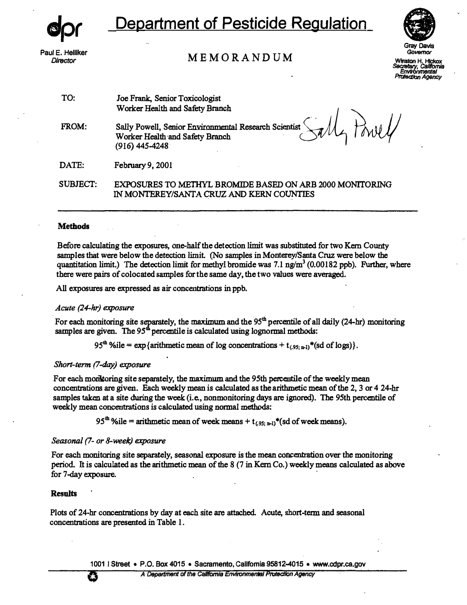**Paul E. Helllker** 

# **Department of Pesticide Regulation**



*Director* **MEMORANDUM** 

**Gray Davis Govsmor** 

*�* **Winston** H. Hickox *Cs/lfomia ProtectJon Environmental Agency*

**TO: Joe Frank, Senior Toxicologist Worker Health and Safety Branch** 

**FROM: Sally Powell, Senior Environmental Research Scientist Worker Health·and Safety Branch**  Sally Powell, Senior Environmental Research Scientist Sally Powell, Senior Environmental Research Scientist Sally

**DATE: February 9, 2001** 

**SUBJECT: EXPOSURES TO METHYL BROMIDE BASED ON ARB 2000 MONITORING IN MONTEREY/SANTA CRUZ**  . **AND KERN COUNTIES**  .

#### **Methods**

**Before calculating the exposures, one-half the detection limit was substituted for two Kern County samples that were below the detection limit. (No samples in Monterey/Santa Cruz were below the quantitation limit.) The detection limit for methyl bromide was 7.1 ng/m**<sup>3</sup> **(0.00182 ppb). Further, where there were pairs of colocated samples for the same day, the two values were averaged.** 

**All exposures are expressed as air concentrations in ppb.** 

#### *Acute (24-hr) exposure*

For each monitoring site separately, the maximum and the 95<sup>th</sup> percentile of all daily (24-hr) monitoring samples are given. The 95<sup>th</sup> percentile is calculated using lognormal methods:

95<sup>th</sup> %ile =  $\exp{\{\text{arithmetic mean of log concentrations} + t_{.95; n-1}\}}$  (sd of logs).

#### *Short-term (7-day) exposure*

**For each momtoring site separately, the maximum and the 95th percentile of the weekly mean concentrations are given. Each weekly mean is calculated as the arithmetic mean of the 2, 3 or 4 24-hr samples taken at a site during the week: {i.e., nonmonitoring days are ignored). The 95th percentile of weekly mean concentrations is calculated using normal methods:** 

 $95<sup>th</sup>$  %ile = arithmetic mean of week means + t<sub>(.95; n-1)</sub>\*(sd of week means).

#### *Seasonal (7- or 8-week) exposure*

**For each monitoring site separately, seasonal exposure is the mean concentration over the monitoring period. It is calculated as the arithmetic mean of the 8 (7 in Kern Co.) weekly means calculated as above for 7-day exposure.** 

#### **Results**

**Plots of 24-hr concentrations by day at each site are attached. Acute, short-term and seasonal concentrations are presented in Table 1.** 

**10011 Street • P.O. Box 4015 • Sacramento, callfomla 95812-4015 • www.cdpr.ca.gov**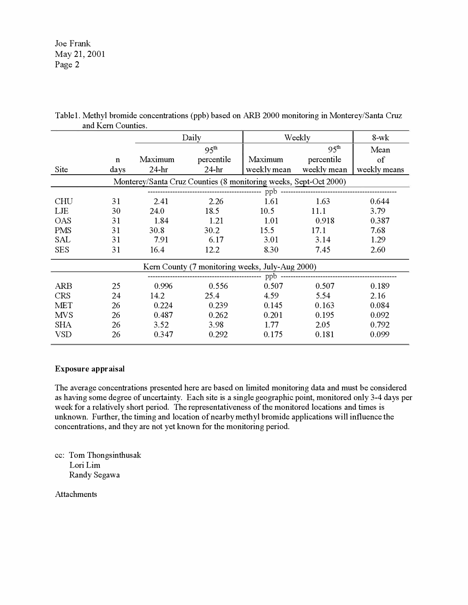Joe Frank May 21, 2001 Page 2

|                                                                  |             | Daily            |            | Weekly      | $8-wk$           |              |  |  |
|------------------------------------------------------------------|-------------|------------------|------------|-------------|------------------|--------------|--|--|
|                                                                  |             | 95 <sup>th</sup> |            |             | 95 <sup>th</sup> | Mean         |  |  |
|                                                                  | $\mathbf n$ | Maximum          | percentile | Maximum     | percentile       | of           |  |  |
| Site                                                             | days        | $24-hr$          | $24-hr$    | weekly mean | weekly mean      | weekly means |  |  |
| Monterey/Santa Cruz Counties (8 monitoring weeks, Sept-Oct 2000) |             |                  |            |             |                  |              |  |  |
|                                                                  |             |                  |            |             |                  |              |  |  |
| <b>CHU</b>                                                       | 31          | 2.41             | 2.26       | 1.61        | 1.63             | 0.644        |  |  |
| LJE                                                              | 30          | 24.0             | 18.5       | 10.5        | 11.1             | 3.79         |  |  |
| <b>OAS</b>                                                       | 31          | 1.84             | 1.21       | 1.01        | 0.918            | 0.387        |  |  |
| <b>PMS</b>                                                       | 31          | 30.8             | 30.2       | 15.5        | 17.1             | 7.68         |  |  |
| <b>SAL</b>                                                       | 31          | 7.91             | 6.17       | 3.01        | 3.14             | 1.29         |  |  |
| <b>SES</b>                                                       | 31          | 16.4             | 12.2       | 8.30        | 7.45             | 2.60         |  |  |
| Kern County (7 monitoring weeks, July-Aug 2000)                  |             |                  |            |             |                  |              |  |  |
|                                                                  |             |                  |            |             |                  |              |  |  |
| <b>ARB</b>                                                       | 25          | 0.996            | 0.556      | 0.507       | 0.507            | 0.189        |  |  |
| <b>CRS</b>                                                       | 24          | 14.2             | 25.4       | 4.59        | 5.54             | 2.16         |  |  |
| <b>MET</b>                                                       | 26          | 0.224            | 0.239      | 0.145       | 0.163            | 0.084        |  |  |
| <b>MVS</b>                                                       | 26          | 0.487            | 0.262      | 0.201       | 0.195            | 0.092        |  |  |
| <b>SHA</b>                                                       | 26          | 3.52             | 3.98       | 1.77        | 2.05             | 0.792        |  |  |
| <b>VSD</b>                                                       | 26          | 0.347            | 0.292      | 0.175       | 0.181            | 0.099        |  |  |

Table 1. Methyl bromide concentrations (ppb) based on ARB 2000 monitoring in Monterey/Santa Cruz and Kem Counties.

#### **Exposure appraisal**

The average concentrations presented here are based on limited monitoring data and must be considered as having some degree of uncertainty. Each site is a single geographic point, monitored only 3-4 days per week for a relatively short period. The representativeness of the monitored locations and times is unknown. Further, the timing and location of nearby methyl bromide applications will influence the concentrations, and they are not yet known for the monitoring period.

cc: Tom Thongsinthusak Lori Lim Randy Segawa

**Attachments**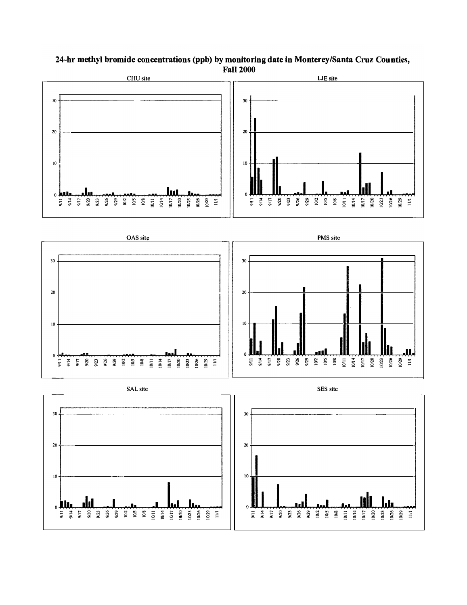

### 24-hr methyl bromide concentrations (ppb) by monitoring date in Monterey/Santa Cruz Counties, **Fall 2000**